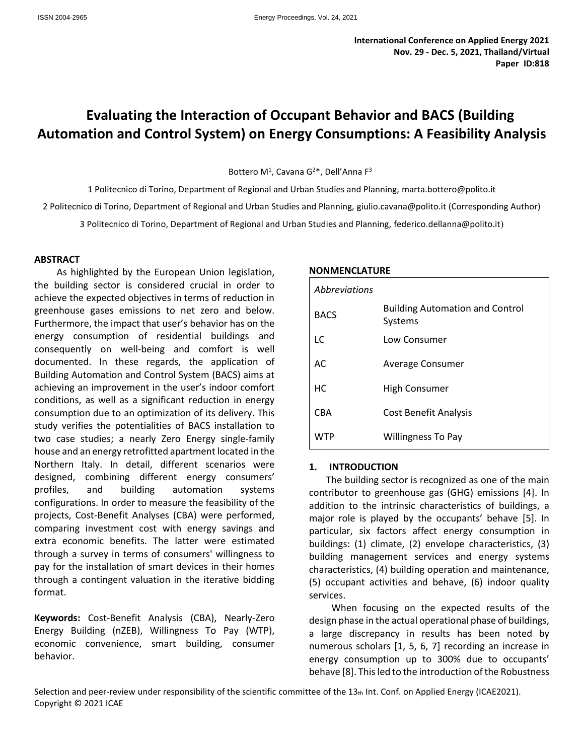# **Evaluating the Interaction of Occupant Behavior and BACS (Building Automation and Control System) on Energy Consumptions: A Feasibility Analysis**

Bottero M<sup>1</sup>, Cavana G<sup>2\*</sup>, Dell'Anna F<sup>3</sup>

1 Politecnico di Torino, Department of Regional and Urban Studies and Planning, marta.bottero@polito.it 2 Politecnico di Torino, Department of Regional and Urban Studies and Planning, giulio.cavana@polito.it (Corresponding Author)

3 Politecnico di Torino, Department of Regional and Urban Studies and Planning, federico.dellanna@polito.it)

#### **ABSTRACT**

As highlighted by the European Union legislation, the building sector is considered crucial in order to achieve the expected objectives in terms of reduction in greenhouse gases emissions to net zero and below. Furthermore, the impact that user's behavior has on the energy consumption of residential buildings and consequently on well-being and comfort is well documented. In these regards, the application of Building Automation and Control System (BACS) aims at achieving an improvement in the user's indoor comfort conditions, as well as a significant reduction in energy consumption due to an optimization of its delivery. This study verifies the potentialities of BACS installation to two case studies; a nearly Zero Energy single-family house and an energy retrofitted apartment located in the Northern Italy. In detail, different scenarios were designed, combining different energy consumers' profiles, and building automation systems configurations. In order to measure the feasibility of the projects, Cost-Benefit Analyses (CBA) were performed, comparing investment cost with energy savings and extra economic benefits. The latter were estimated through a survey in terms of consumers' willingness to pay for the installation of smart devices in their homes through a contingent valuation in the iterative bidding format.

**Keywords:** Cost-Benefit Analysis (CBA), Nearly-Zero Energy Building (nZEB), Willingness To Pay (WTP), economic convenience, smart building, consumer behavior.

#### **NONMENCLATURE**

| Abbreviations |                                                   |
|---------------|---------------------------------------------------|
| <b>BACS</b>   | <b>Building Automation and Control</b><br>Systems |
| LC            | Low Consumer                                      |
| AC            | Average Consumer                                  |
| HC            | High Consumer                                     |
| CBA           | <b>Cost Benefit Analysis</b>                      |
|               | <b>Willingness To Pay</b>                         |

#### **1. INTRODUCTION**

The building sector is recognized as one of the main contributor to greenhouse gas (GHG) emissions [4]. In addition to the intrinsic characteristics of buildings, a major role is played by the occupants' behave [5]. In particular, six factors affect energy consumption in buildings: (1) climate, (2) envelope characteristics, (3) building management services and energy systems characteristics, (4) building operation and maintenance, (5) occupant activities and behave, (6) indoor quality services.

When focusing on the expected results of the design phase in the actual operational phase of buildings, a large discrepancy in results has been noted by numerous scholars [1, 5, 6, 7] recording an increase in energy consumption up to 300% due to occupants' behave [8]. This led to the introduction of the Robustness

Selection and peer-review under responsibility of the scientific committee of the  $13<sub>th</sub>$  Int. Conf. on Applied Energy (ICAE2021). Copyright © 2021 ICAE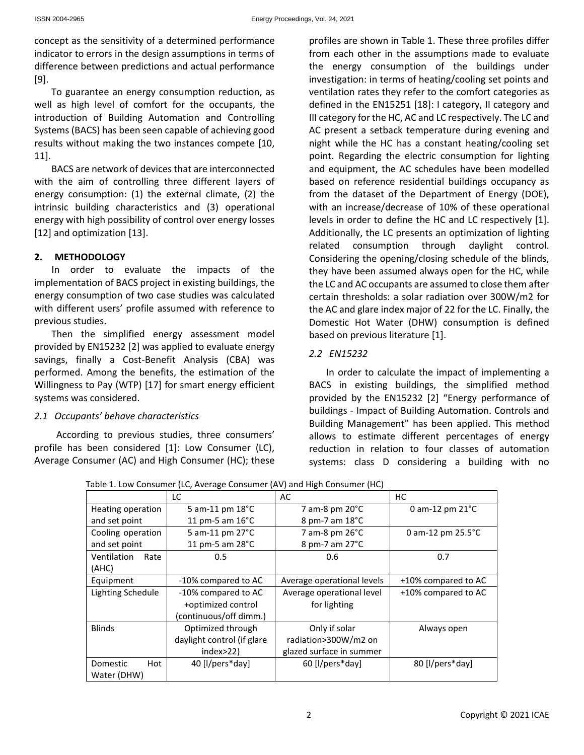concept as the sensitivity of a determined performance indicator to errors in the design assumptions in terms of difference between predictions and actual performance [9].

To guarantee an energy consumption reduction, as well as high level of comfort for the occupants, the introduction of Building Automation and Controlling Systems (BACS) has been seen capable of achieving good results without making the two instances compete [10, 11].

BACS are network of devices that are interconnected with the aim of controlling three different layers of energy consumption: (1) the external climate, (2) the intrinsic building characteristics and (3) operational energy with high possibility of control over energy losses [12] and optimization [13].

## **2. METHODOLOGY**

In order to evaluate the impacts of the implementation of BACS project in existing buildings, the energy consumption of two case studies was calculated with different users' profile assumed with reference to previous studies.

Then the simplified energy assessment model provided by EN15232 [2] was applied to evaluate energy savings, finally a Cost-Benefit Analysis (CBA) was performed. Among the benefits, the estimation of the Willingness to Pay (WTP) [17] for smart energy efficient systems was considered.

## *2.1 Occupants' behave characteristics*

According to previous studies, three consumers' profile has been considered [1]: Low Consumer (LC), Average Consumer (AC) and High Consumer (HC); these profiles are shown in Table 1. These three profiles differ from each other in the assumptions made to evaluate the energy consumption of the buildings under investigation: in terms of heating/cooling set points and ventilation rates they refer to the comfort categories as defined in the EN15251 [18]: I category, II category and III category for the HC, AC and LC respectively. The LC and AC present a setback temperature during evening and night while the HC has a constant heating/cooling set point. Regarding the electric consumption for lighting and equipment, the AC schedules have been modelled based on reference residential buildings occupancy as from the dataset of the Department of Energy (DOE), with an increase/decrease of 10% of these operational levels in order to define the HC and LC respectively [1]. Additionally, the LC presents an optimization of lighting related consumption through daylight control. Considering the opening/closing schedule of the blinds, they have been assumed always open for the HC, while the LC and AC occupants are assumed to close them after certain thresholds: a solar radiation over 300W/m2 for the AC and glare index major of 22 for the LC. Finally, the Domestic Hot Water (DHW) consumption is defined based on previous literature [1].

# *2.2 EN15232*

In order to calculate the impact of implementing a BACS in existing buildings, the simplified method provided by the EN15232 [2] "Energy performance of buildings - Impact of Building Automation. Controls and Building Management" has been applied. This method allows to estimate different percentages of energy reduction in relation to four classes of automation systems: class D considering a building with no

|                     | LC                         | AC                         | HC.                         |  |
|---------------------|----------------------------|----------------------------|-----------------------------|--|
| Heating operation   | 5 am-11 pm 18°C            | 7 am-8 pm $20^{\circ}$ C   | 0 am-12 pm $21^{\circ}$ C   |  |
| and set point       | 11 pm-5 am $16^{\circ}$ C  | 8 pm-7 am 18°C             |                             |  |
| Cooling operation   | 5 am-11 pm 27°C            | 7 am-8 pm 26°C             | 0 am-12 pm $25.5^{\circ}$ C |  |
| and set point       | 11 pm-5 am 28°C            | 8 pm-7 am 27°C             |                             |  |
| Ventilation<br>Rate | 0.5                        | 0.6                        | 0.7                         |  |
| (AHC)               |                            |                            |                             |  |
| Equipment           | -10% compared to AC        | Average operational levels | +10% compared to AC         |  |
| Lighting Schedule   | -10% compared to AC        | Average operational level  | +10% compared to AC         |  |
|                     | +optimized control         | for lighting               |                             |  |
|                     | (continuous/off dimm.)     |                            |                             |  |
| <b>Blinds</b>       | Optimized through          | Only if solar              | Always open                 |  |
|                     | daylight control (if glare | radiation>300W/m2 on       |                             |  |
|                     | index > 22                 | glazed surface in summer   |                             |  |
| Hot<br>Domestic     | 40 [I/pers*day]            | 60 [I/pers*day]            | 80 [I/pers*day]             |  |
| Water (DHW)         |                            |                            |                             |  |

Table 1. Low Consumer (LC, Average Consumer (AV) and High Consumer (HC)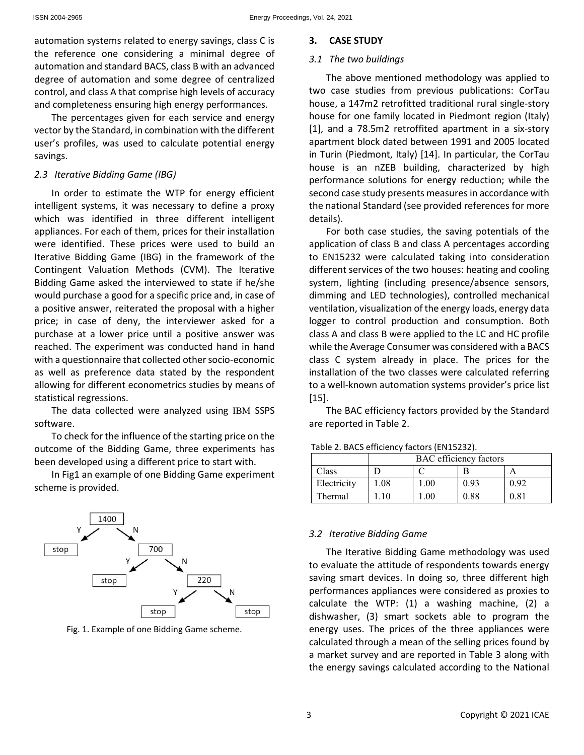automation systems related to energy savings, class C is the reference one considering a minimal degree of automation and standard BACS, class B with an advanced degree of automation and some degree of centralized control, and class A that comprise high levels of accuracy and completeness ensuring high energy performances.

The percentages given for each service and energy vector by the Standard, in combination with the different user's profiles, was used to calculate potential energy savings.

#### *2.3 Iterative Bidding Game (IBG)*

In order to estimate the WTP for energy efficient intelligent systems, it was necessary to define a proxy which was identified in three different intelligent appliances. For each of them, prices for their installation were identified. These prices were used to build an Iterative Bidding Game (IBG) in the framework of the Contingent Valuation Methods (CVM). The Iterative Bidding Game asked the interviewed to state if he/she would purchase a good for a specific price and, in case of a positive answer, reiterated the proposal with a higher price; in case of deny, the interviewer asked for a purchase at a lower price until a positive answer was reached. The experiment was conducted hand in hand with a questionnaire that collected other socio-economic as well as preference data stated by the respondent allowing for different econometrics studies by means of statistical regressions.

The data collected were analyzed using IBM SSPS software.

To check for the influence of the starting price on the outcome of the Bidding Game, three experiments has been developed using a different price to start with.

In Fig1 an example of one Bidding Game experiment scheme is provided.



Fig. 1. Example of one Bidding Game scheme.

#### **3. CASE STUDY**

#### *3.1 The two buildings*

The above mentioned methodology was applied to two case studies from previous publications: CorTau house, a 147m2 retrofitted traditional rural single-story house for one family located in Piedmont region (Italy) [1], and a 78.5m2 retroffited apartment in a six-story apartment block dated between 1991 and 2005 located in Turin (Piedmont, Italy) [14]. In particular, the CorTau house is an nZEB building, characterized by high performance solutions for energy reduction; while the second case study presents measures in accordance with the national Standard (see provided references for more details).

For both case studies, the saving potentials of the application of class B and class A percentages according to EN15232 were calculated taking into consideration different services of the two houses: heating and cooling system, lighting (including presence/absence sensors, dimming and LED technologies), controlled mechanical ventilation, visualization of the energy loads, energy data logger to control production and consumption. Both class A and class B were applied to the LC and HC profile while the Average Consumer was considered with a BACS class C system already in place. The prices for the installation of the two classes were calculated referring to a well-known automation systems provider's price list [15].

The BAC efficiency factors provided by the Standard are reported in Table 2.

|             | <b>BAC</b> efficiency factors |          |      |      |  |  |
|-------------|-------------------------------|----------|------|------|--|--|
| Class       |                               |          |      |      |  |  |
| Electricity | 1.08                          | $1.00\,$ | 0.93 | 0.92 |  |  |
| Thermal     |                               | $1.00\,$ | 0.88 | 0.81 |  |  |

Table 2. BACS efficiency factors (EN15232).

#### *3.2 Iterative Bidding Game*

The Iterative Bidding Game methodology was used to evaluate the attitude of respondents towards energy saving smart devices. In doing so, three different high performances appliances were considered as proxies to calculate the WTP: (1) a washing machine, (2) a dishwasher, (3) smart sockets able to program the energy uses. The prices of the three appliances were calculated through a mean of the selling prices found by a market survey and are reported in Table 3 along with the energy savings calculated according to the National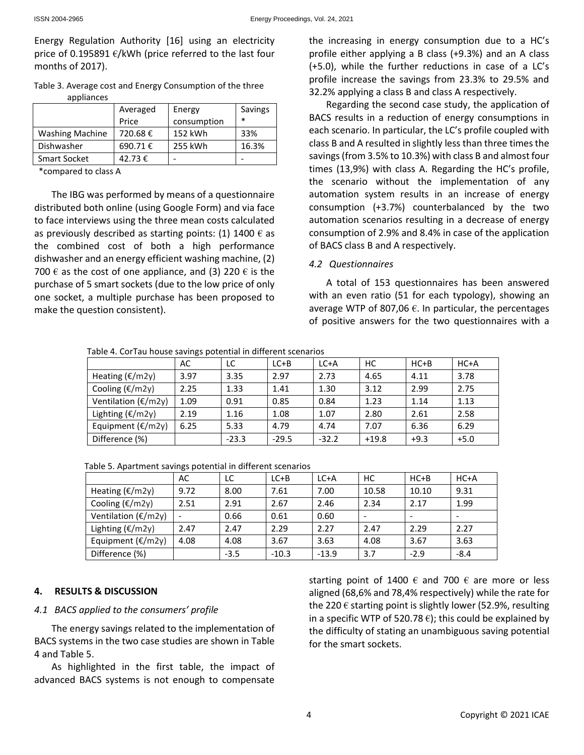Energy Regulation Authority [16] using an electricity price of 0.195891  $\epsilon$ /kWh (price referred to the last four months of 2017).

 Table 3. Average cost and Energy Consumption of the three appliances

|                        | Averaged<br>Price | Energy<br>consumption | Savings<br>$\ast$ |
|------------------------|-------------------|-----------------------|-------------------|
| <b>Washing Machine</b> | 720.68€           | 152 kWh               | 33%               |
| Dishwasher             | 690.71€           | 255 kWh               | 16.3%             |
| <b>Smart Socket</b>    | 42.73€            |                       |                   |

\*compared to class A

The IBG was performed by means of a questionnaire distributed both online (using Google Form) and via face to face interviews using the three mean costs calculated as previously described as starting points: (1) 1400  $\epsilon$  as the combined cost of both a high performance dishwasher and an energy efficient washing machine, (2) 700  $\epsilon$  as the cost of one appliance, and (3) 220  $\epsilon$  is the purchase of 5 smart sockets (due to the low price of only one socket, a multiple purchase has been proposed to make the question consistent).

the increasing in energy consumption due to a HC's profile either applying a B class (+9.3%) and an A class (+5.0), while the further reductions in case of a LC's profile increase the savings from 23.3% to 29.5% and 32.2% applying a class B and class A respectively.

Regarding the second case study, the application of BACS results in a reduction of energy consumptions in each scenario. In particular, the LC's profile coupled with class B and A resulted in slightly less than three times the savings (from 3.5% to 10.3%) with class B and almost four times (13,9%) with class A. Regarding the HC's profile, the scenario without the implementation of any automation system results in an increase of energy consumption (+3.7%) counterbalanced by the two automation scenarios resulting in a decrease of energy consumption of 2.9% and 8.4% in case of the application of BACS class B and A respectively.

## *4.2 Questionnaires*

A total of 153 questionnaires has been answered with an even ratio (51 for each typology), showing an average WTP of 807,06  $\epsilon$ . In particular, the percentages of positive answers for the two questionnaires with a

Table 4. CorTau house savings potential in different scenarios

|                                | AC.  | LC      | $LC + B$ | $LC+A$  | НC      | $HC + B$ | $HC+A$ |
|--------------------------------|------|---------|----------|---------|---------|----------|--------|
| Heating $(\epsilon/m2y)$       | 3.97 | 3.35    | 2.97     | 2.73    | 4.65    | 4.11     | 3.78   |
| Cooling $(\epsilon/m2y)$       | 2.25 | 1.33    | 1.41     | 1.30    | 3.12    | 2.99     | 2.75   |
| Ventilation ( $\epsilon$ /m2y) | 1.09 | 0.91    | 0.85     | 0.84    | 1.23    | 1.14     | 1.13   |
| Lighting ( $€/m2y$ )           | 2.19 | 1.16    | 1.08     | 1.07    | 2.80    | 2.61     | 2.58   |
| Equipment $(\epsilon/m2y)$     | 6.25 | 5.33    | 4.79     | 4.74    | 7.07    | 6.36     | 6.29   |
| Difference (%)                 |      | $-23.3$ | $-29.5$  | $-32.2$ | $+19.8$ | $+9.3$   | $+5.0$ |

Table 5. Apartment savings potential in different scenarios

|                                | AC   | LC     | $LC + B$ | LCA     | НC    | $HC + B$ | $HC+A$                   |
|--------------------------------|------|--------|----------|---------|-------|----------|--------------------------|
| Heating $(\epsilon/m2y)$       | 9.72 | 8.00   | 7.61     | 7.00    | 10.58 | 10.10    | 9.31                     |
| Cooling $(\epsilon/m2y)$       | 2.51 | 2.91   | 2.67     | 2.46    | 2.34  | 2.17     | 1.99                     |
| Ventilation ( $\epsilon$ /m2y) |      | 0.66   | 0.61     | 0.60    |       |          | $\overline{\phantom{0}}$ |
| Lighting $(\epsilon/m2y)$      | 2.47 | 2.47   | 2.29     | 2.27    | 2.47  | 2.29     | 2.27                     |
| Equipment $(\epsilon/m2y)$     | 4.08 | 4.08   | 3.67     | 3.63    | 4.08  | 3.67     | 3.63                     |
| Difference (%)                 |      | $-3.5$ | $-10.3$  | $-13.9$ | 3.7   | $-2.9$   | $-8.4$                   |

## **4. RESULTS & DISCUSSION**

## *4.1 BACS applied to the consumers' profile*

The energy savings related to the implementation of BACS systems in the two case studies are shown in Table 4 and Table 5.

As highlighted in the first table, the impact of advanced BACS systems is not enough to compensate starting point of 1400  $\epsilon$  and 700  $\epsilon$  are more or less aligned (68,6% and 78,4% respectively) while the rate for the 220  $\epsilon$  starting point is slightly lower (52.9%, resulting in a specific WTP of 520.78  $\epsilon$ ); this could be explained by the difficulty of stating an unambiguous saving potential for the smart sockets.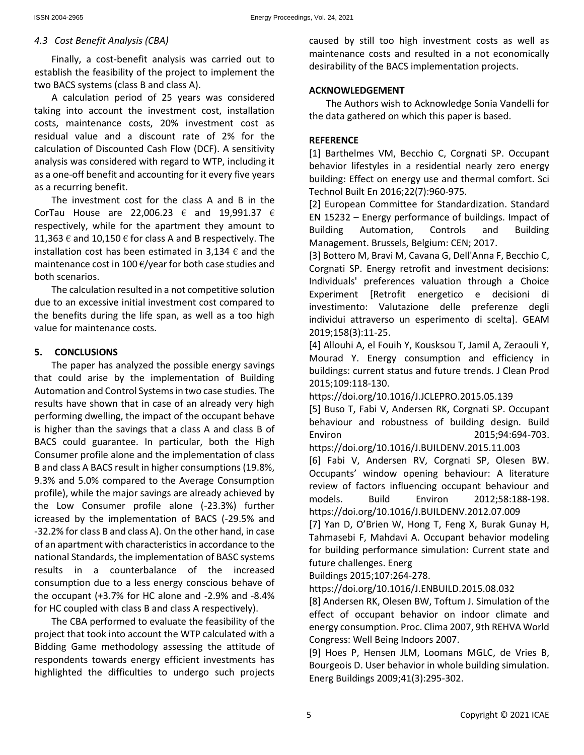## *4.3 Cost Benefit Analysis (CBA)*

Finally, a cost-benefit analysis was carried out to establish the feasibility of the project to implement the two BACS systems (class B and class A).

A calculation period of 25 years was considered taking into account the investment cost, installation costs, maintenance costs, 20% investment cost as residual value and a discount rate of 2% for the calculation of Discounted Cash Flow (DCF). A sensitivity analysis was considered with regard to WTP, including it as a one-off benefit and accounting for it every five years as a recurring benefit.

The investment cost for the class A and B in the CorTau House are 22,006.23  $\epsilon$  and 19,991.37  $\epsilon$ respectively, while for the apartment they amount to 11,363  $\epsilon$  and 10,150  $\epsilon$  for class A and B respectively. The installation cost has been estimated in 3,134  $\epsilon$  and the maintenance cost in 100  $\epsilon$ /year for both case studies and both scenarios.

The calculation resulted in a not competitive solution due to an excessive initial investment cost compared to the benefits during the life span, as well as a too high value for maintenance costs.

#### **5. CONCLUSIONS**

The paper has analyzed the possible energy savings that could arise by the implementation of Building Automation and Control Systems in two case studies. The results have shown that in case of an already very high performing dwelling, the impact of the occupant behave is higher than the savings that a class A and class B of BACS could guarantee. In particular, both the High Consumer profile alone and the implementation of class B and class A BACS result in higher consumptions (19.8%, 9.3% and 5.0% compared to the Average Consumption profile), while the major savings are already achieved by the Low Consumer profile alone (-23.3%) further icreased by the implementation of BACS (-29.5% and -32.2% for class B and class A). On the other hand, in case of an apartment with characteristics in accordance to the national Standards, the implementation of BASC systems results in a counterbalance of the increased consumption due to a less energy conscious behave of the occupant (+3.7% for HC alone and -2.9% and -8.4% for HC coupled with class B and class A respectively).

The CBA performed to evaluate the feasibility of the project that took into account the WTP calculated with a Bidding Game methodology assessing the attitude of respondents towards energy efficient investments has highlighted the difficulties to undergo such projects

caused by still too high investment costs as well as maintenance costs and resulted in a not economically desirability of the BACS implementation projects.

#### **ACKNOWLEDGEMENT**

The Authors wish to Acknowledge Sonia Vandelli for the data gathered on which this paper is based.

#### **REFERENCE**

[1] Barthelmes VM, Becchio C, Corgnati SP. Occupant behavior lifestyles in a residential nearly zero energy building: Effect on energy use and thermal comfort. Sci Technol Built En 2016;22(7):960-975.

[2] European Committee for Standardization. Standard EN 15232 – Energy performance of buildings. Impact of Building Automation, Controls and Building Management. Brussels, Belgium: CEN; 2017.

[3] Bottero M, Bravi M, Cavana G, Dell'Anna F, Becchio C, Corgnati SP. Energy retrofit and investment decisions: Individuals' preferences valuation through a Choice Experiment [Retrofit energetico e decisioni di investimento: Valutazione delle preferenze degli individui attraverso un esperimento di scelta]. GEAM 2019;158(3):11-25.

[4] Allouhi A, el Fouih Y, Kousksou T, Jamil A, Zeraouli Y, Mourad Y. Energy consumption and efficiency in buildings: current status and future trends. J Clean Prod 2015;109:118-130.

https://doi.org/10.1016/J.JCLEPRO.2015.05.139

[5] Buso T, Fabi V, Andersen RK, Corgnati SP. Occupant behaviour and robustness of building design. Build Environ 2015;94:694-703.

https://doi.org/10.1016/J.BUILDENV.2015.11.003

[6] Fabi V, Andersen RV, Corgnati SP, Olesen BW. Occupants' window opening behaviour: A literature review of factors influencing occupant behaviour and models. Build Environ 2012;58:188-198. https://doi.org/10.1016/J.BUILDENV.2012.07.009

[7] Yan D, O'Brien W, Hong T, Feng X, Burak Gunay H, Tahmasebi F, Mahdavi A. Occupant behavior modeling for building performance simulation: Current state and future challenges. Energ

Buildings 2015;107:264-278.

https://doi.org/10.1016/J.ENBUILD.2015.08.032

[8] Andersen RK, Olesen BW, Toftum J. Simulation of the effect of occupant behavior on indoor climate and energy consumption. Proc. Clima 2007, 9th REHVA World Congress: Well Being Indoors 2007.

[9] Hoes P, Hensen JLM, Loomans MGLC, de Vries B, Bourgeois D. User behavior in whole building simulation. Energ Buildings 2009;41(3):295-302.